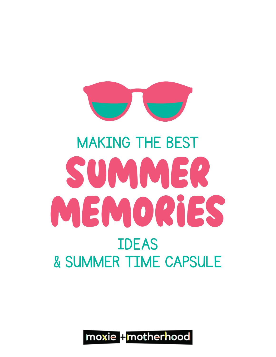

## SUMMER MEMORiES MAKING THE BEST IDEAS & SUMMER TIME CAPSULE

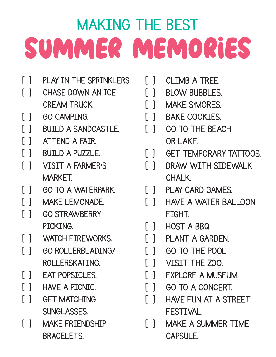## MAKING THE BEST SUMMER MEMORiES

- [ ] PLAY IN THE SPRINKLERS.
- [ ] CHASE DOWN AN ICE CREAM TRUCK.
- [ ] GO CAMPTNG.
- [ ] BUTLD A SANDCASTLE
- [ ] ATTEND A FAIR.
- [ ] BUILD A PUZZLE.
- [ ] VISIT A FARMER'S MARKET.
- [ ] GO TO A WATERPARK.
- [ ] MAKE LEMONADE.
- [ ] GO STRAWBERRY **PTCKTNG**
- [ ] WATCH FIREWORKS.
- [ ] GO ROLLERBLADING/ ROLLERSKATTNG
- [ ] EAT POPSICLES.
- [ ] HAVE A PICNIC.
- [ ] GET MATCHING SUNGLASSES.
- [ ] MAKE FRIENDSHIP **BRACELETS**
- [ ] CLIMB A TREE.
- [ ] BLOW BUBBLES.
- [ ] MAKE S'MORES.
- [ ] BAKE COOKIES.
- [ ] GO TO THE BEACH OR LAKE.
- [ ] GET TEMPORARY TATTOOS.
- [ ] DRAW WITH SIDEWALK CHALK.
- [ ] PLAY CARD GAMES.
- [ ] HAVE A WATER BALLOON FIGHT.
- [ ] HOST A BBQ.
- [ ] PLANT A GARDEN.
- [ ] GO TO THE POOL.
- [ ] VISIT THE ZOO.
- [ ] EXPLORE A MUSEUM.
- [ ] GO TO A CONCERT.
- [ ] HAVE FUN AT A STREET FESTIVAL.
- [ ] MAKE A SUMMER TIME CAPSULE.